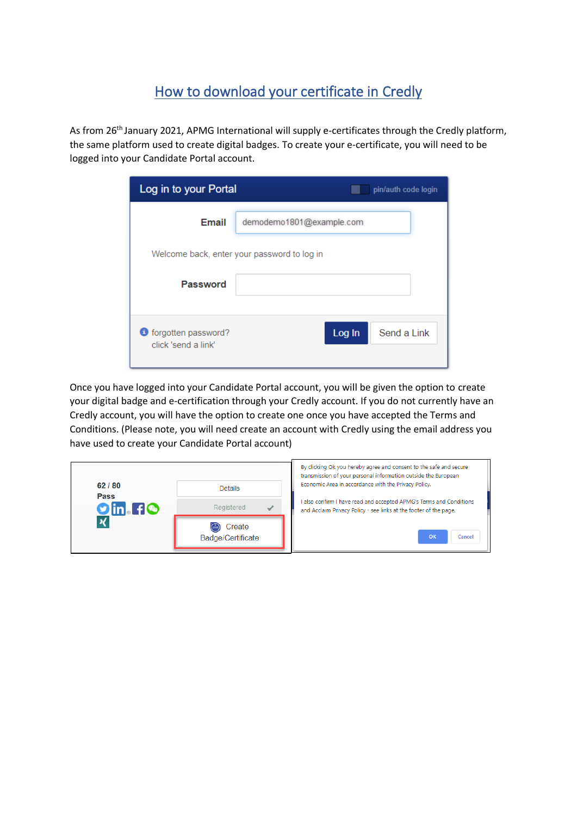## How to download your certificate in Credly

As from 26<sup>th</sup> January 2021, APMG International will supply e-certificates through the Credly platform, the same platform used to create digital badges. To create your e-certificate, you will need to be logged into your Candidate Portal account.

| Log in to your Portal<br>pin/auth code login  |                          |  |  |
|-----------------------------------------------|--------------------------|--|--|
| Email                                         | demodemo1801@example.com |  |  |
| Welcome back, enter your password to log in   |                          |  |  |
| Password                                      |                          |  |  |
| of forgotten password?<br>click 'send a link' | Send a Link<br>Log In    |  |  |

Once you have logged into your Candidate Portal account, you will be given the option to create your digital badge and e-certification through your Credly account. If you do not currently have an Credly account, you will have the option to create one once you have accepted the Terms and Conditions. (Please note, you will need create an account with Credly using the email address you have used to create your Candidate Portal account)

| 62/80<br>Pass<br>$O$ in. Fe | <b>Details</b><br>Registered | By clicking Ok you hereby agree and consent to the safe and secure<br>transmission of your personal information outside the European<br>Economic Area in accordance with the Privacy Policy.<br>also confirm I have read and accepted APMG's Terms and Conditions<br>and Acclaim Privacy Policy - see links at the footer of the page. |
|-----------------------------|------------------------------|----------------------------------------------------------------------------------------------------------------------------------------------------------------------------------------------------------------------------------------------------------------------------------------------------------------------------------------|
|                             | Create<br>Badge/Certificate  | OK<br>Cancel                                                                                                                                                                                                                                                                                                                           |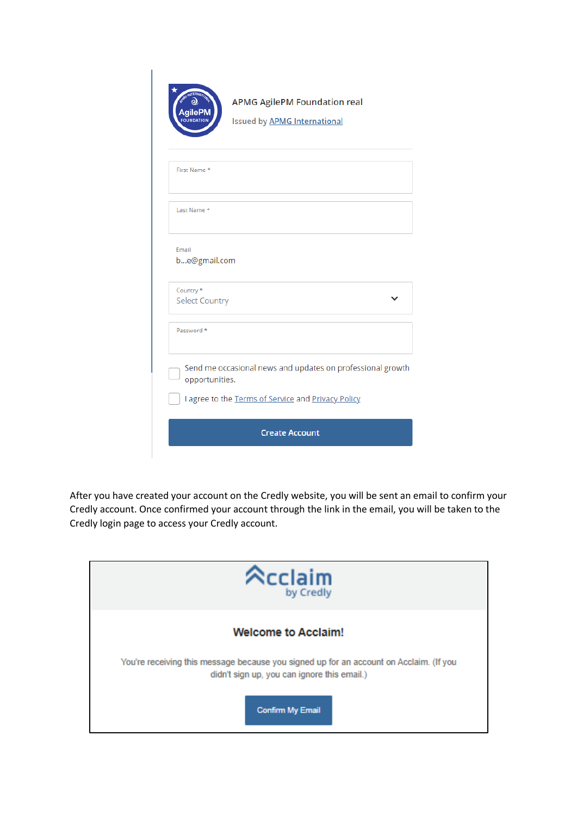|                                    | <b>APMG AgilePM Foundation real</b><br><b>Issued by APMG International</b>                                       |  |
|------------------------------------|------------------------------------------------------------------------------------------------------------------|--|
| First Name *                       |                                                                                                                  |  |
| Last Name *                        |                                                                                                                  |  |
| Email<br>be@gmail.com              |                                                                                                                  |  |
| Country *<br><b>Select Country</b> |                                                                                                                  |  |
| Password *                         |                                                                                                                  |  |
| opportunities.                     | Send me occasional news and updates on professional growth<br>I agree to the Terms of Service and Privacy Policy |  |
| <b>Create Account</b>              |                                                                                                                  |  |

After you have created your account on the Credly website, you will be sent an email to confirm your Credly account. Once confirmed your account through the link in the email, you will be taken to the Credly login page to access your Credly account.

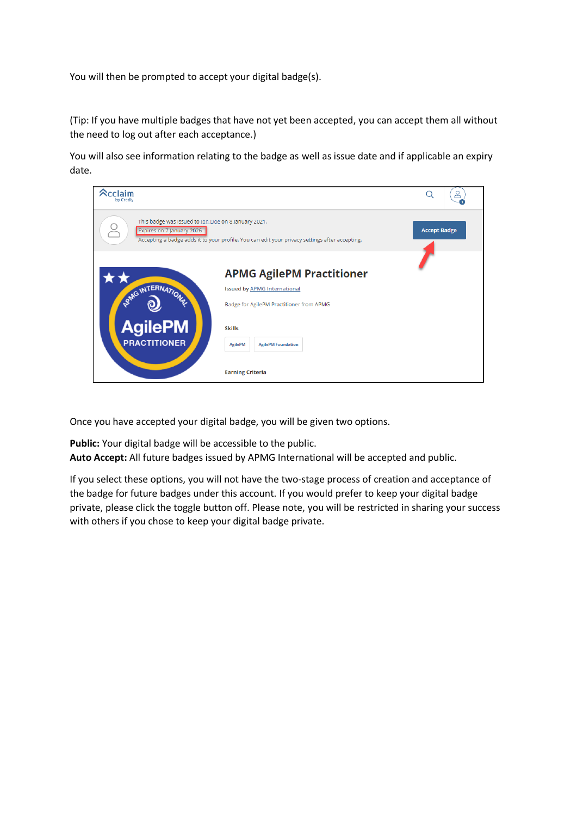You will then be prompted to accept your digital badge(s).

(Tip: If you have multiple badges that have not yet been accepted, you can accept them all without the need to log out after each acceptance.)

You will also see information relating to the badge as well as issue date and if applicable an expiry date.

| $\mathbin{\widehat{\sim}}$ cclaim<br>by Credly                                   |                                                                                                                                                                                                                | ≗                   |
|----------------------------------------------------------------------------------|----------------------------------------------------------------------------------------------------------------------------------------------------------------------------------------------------------------|---------------------|
| This badge was issued to Jon Doe on 8 January 2021.<br>Expires on 7 January 2026 | Accepting a badge adds it to your profile. You can edit your privacy settings after accepting.                                                                                                                 | <b>Accept Badge</b> |
| PANG INTERNATION<br><b>AgilePM</b><br><b>PRACTITIONER</b>                        | <b>APMG AgilePM Practitioner</b><br><b>Issued by APMG International</b><br>Badge for AgilePM Practitioner from APMG<br><b>Skills</b><br><b>AgilePM</b><br><b>AgilePM Foundation</b><br><b>Earning Criteria</b> |                     |

Once you have accepted your digital badge, you will be given two options.

**Public:** Your digital badge will be accessible to the public. **Auto Accept:** All future badges issued by APMG International will be accepted and public.

If you select these options, you will not have the two-stage process of creation and acceptance of the badge for future badges under this account. If you would prefer to keep your digital badge private, please click the toggle button off. Please note, you will be restricted in sharing your success with others if you chose to keep your digital badge private.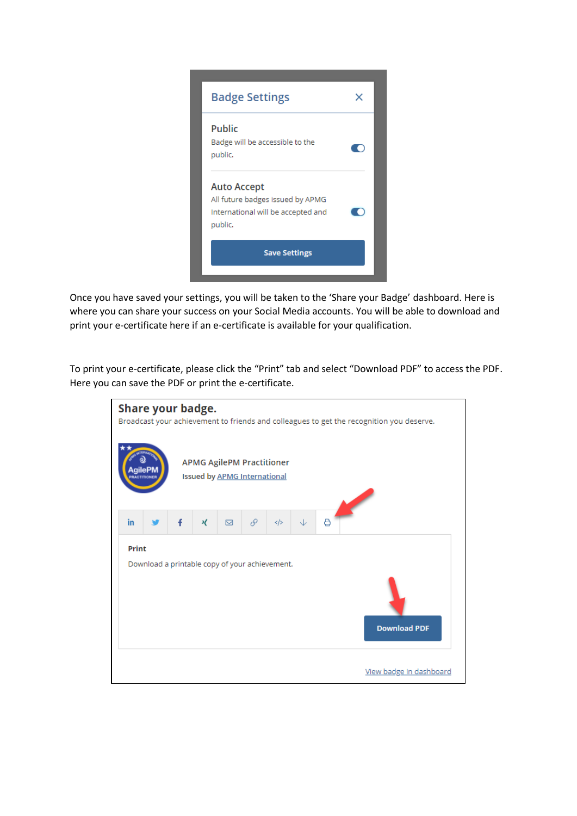

Once you have saved your settings, you will be taken to the 'Share your Badge' dashboard. Here is where you can share your success on your Social Media accounts. You will be able to download and print your e-certificate here if an e-certificate is available for your qualification.

To print your e-certificate, please click the "Print" tab and select "Download PDF" to access the PDF. Here you can save the PDF or print the e-certificate.

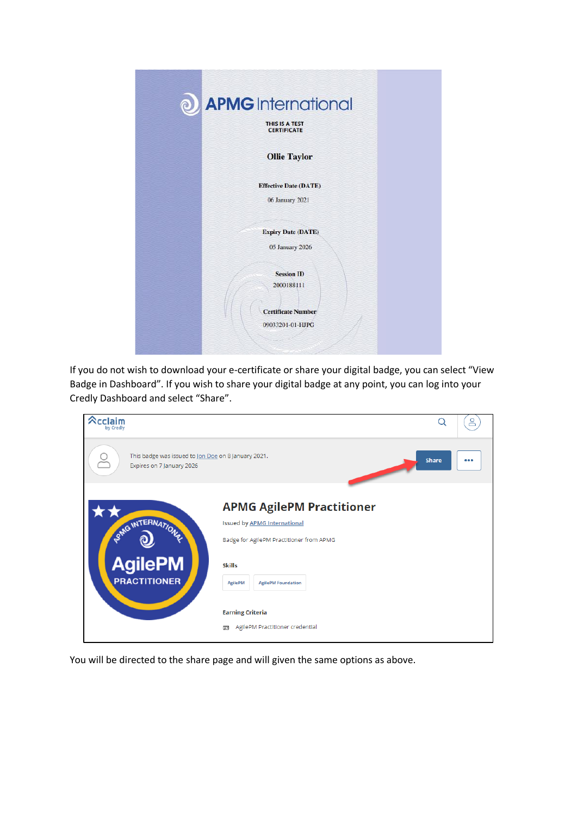| $\odot$ | <b>APMG</b> International<br>THIS IS A TEST<br><b>CERTIFICATE</b>                |  |
|---------|----------------------------------------------------------------------------------|--|
|         | <b>Ollie Taylor</b>                                                              |  |
|         | <b>Effective Date (DATE)</b>                                                     |  |
|         | 06 January 2021                                                                  |  |
|         | <b>Expiry Date (DATE)</b>                                                        |  |
|         | 05 January 2026                                                                  |  |
|         | <b>Session ID</b><br>2000188111<br><b>Certificate Number</b><br>09033201-01-HJPG |  |
|         |                                                                                  |  |

If you do not wish to download your e-certificate or share your digital badge, you can select "View Badge in Dashboard". If you wish to share your digital badge at any point, you can log into your Credly Dashboard and select "Share".

| $\mathbin{\triangle}$ cclaim<br>by Credly                                        |                                                                                                                                                                                                                                                        |              |  |
|----------------------------------------------------------------------------------|--------------------------------------------------------------------------------------------------------------------------------------------------------------------------------------------------------------------------------------------------------|--------------|--|
| This badge was issued to Jon Doe on 8 January 2021.<br>Expires on 7 January 2026 |                                                                                                                                                                                                                                                        | <b>Share</b> |  |
| PANG INTERNATION<br><b>AgilePM</b><br><b>PRACTITIONER</b>                        | <b>APMG AgilePM Practitioner</b><br><b>Issued by APMG International</b><br>Badge for AgilePM Practitioner from APMG<br><b>Skills</b><br><b>AgilePM</b><br><b>AgilePM Foundation</b><br><b>Earning Criteria</b><br>AgilePM Practitioner credential<br>定 |              |  |

You will be directed to the share page and will given the same options as above.